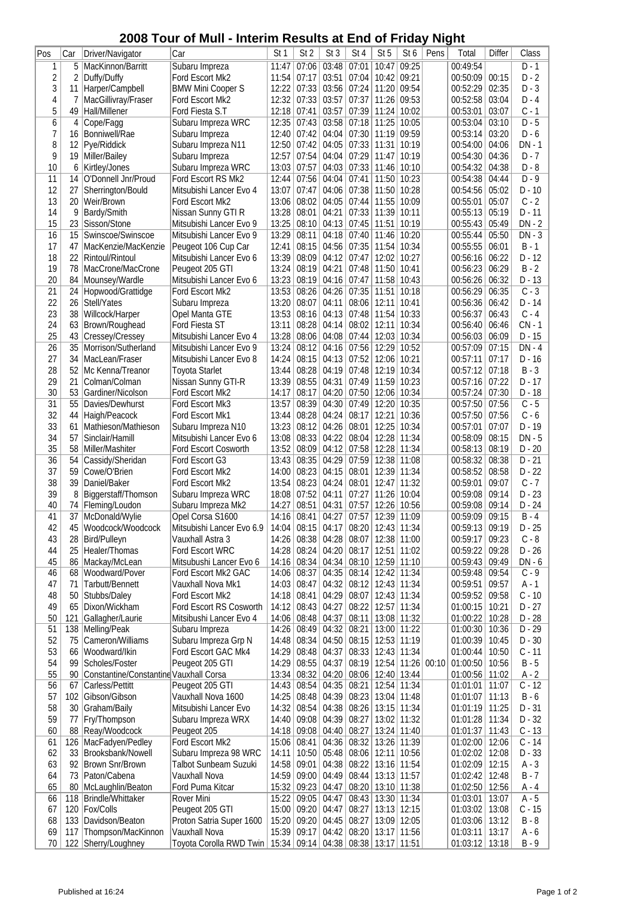## **2008 Tour of Mull - Interim Results at End of Friday Night**

|                 |                 | LUUU<br>ı vuı                          | וושוזו וט<br>יווויסווווויז |                 | ธอนแอ           | au              | 니니                            | νı              | TIUAY NIYIIL  |       |                       |        |           |
|-----------------|-----------------|----------------------------------------|----------------------------|-----------------|-----------------|-----------------|-------------------------------|-----------------|---------------|-------|-----------------------|--------|-----------|
| Pos             | Car             | Driver/Navigator                       | Car                        | St <sub>1</sub> | St <sub>2</sub> | St <sub>3</sub> | St <sub>4</sub>               | St <sub>5</sub> | St 6          | Pens  | Total                 | Differ | Class     |
| 1               | 5               | MacKinnon/Barritt                      | Subaru Impreza             | 11:47           | 07:06           | 03:48           | 07:01                         | 10:47           | 09:25         |       | 00:49:54              |        | $D - 1$   |
| $\overline{c}$  | 2               |                                        |                            |                 | 07:17           |                 | 07:04                         |                 | 09:21         |       | 00:50:09              |        | $D - 2$   |
|                 |                 | Duffy/Duffy                            | Ford Escort Mk2            | 11:54           |                 | 03:51           |                               | 10:42           |               |       |                       | 00:15  |           |
| 3               | 11              | Harper/Campbell                        | <b>BMW Mini Cooper S</b>   | 12:22           | 07:33           | 03:56           | 07:24                         | 11:20           | 09:54         |       | 00:52:29              | 02:35  | $D - 3$   |
| $\overline{4}$  | 7               | MacGillivray/Fraser                    | Ford Escort Mk2            | 12:32           | 07:33           | 03:57           | 07:37                         | 11:26           | 09:53         |       | 00:52:58              | 03:04  | $D - 4$   |
| 5               | 49              | Hall/Millener                          | Ford Fiesta S.T            | 12:18           | 07:41           | 03:57           | 07:39                         | 11:24           | 10:02         |       | 00:53:01              | 03:07  | $C - 1$   |
| 6               | 4               | Cope/Fagg                              | Subaru Impreza WRC         | 12:35           | 07:43           | 03:58           | 07:18                         | 11:25           | 10:05         |       | 00:53:04              | 03:10  | $D - 5$   |
| 7               | 16              | Bonniwell/Rae                          |                            | 12:40           | 07:42           | 04:04           | 07:30                         | 11:19           | 09:59         |       | 00:53:14              | 03:20  | $D - 6$   |
|                 |                 |                                        | Subaru Impreza             |                 |                 |                 |                               |                 |               |       |                       |        |           |
| 8               | 12              | Pye/Riddick                            | Subaru Impreza N11         | 12:50           | 07:42           | 04:05           | 07:33                         | 11:31           | 10:19         |       | 00:54:00              | 04:06  | $DN - 1$  |
| 9               | 19              | Miller/Bailey                          | Subaru Impreza             | 12:57           | 07:54           | 04:04           | 07:29                         | 11:47           | 10:19         |       | 00:54:30              | 04:36  | $D - 7$   |
| 10              | 6               | Kirtley/Jones                          | Subaru Impreza WRC         | 13:03           | 07:57           | 04:03           | 07:33                         | 11:46           | 10:10         |       | 00:54:32              | 04:38  | $D - 8$   |
| 11              | 14              | O'Donnell Jnr/Proud                    | Ford Escort RS Mk2         | 12:44           | 07:56           | 04:04           | 07:41                         | 11:50           | 10:23         |       | 00:54:38              | 04:44  | $D - 9$   |
| 12              | 27              | Sherrington/Bould                      | Mitsubishi Lancer Evo 4    | 13:07           | 07:47           | 04:06           | 07:38                         | 11:50           | 10:28         |       | 00:54:56              | 05:02  | $D - 10$  |
|                 |                 |                                        |                            |                 |                 |                 |                               |                 |               |       |                       |        |           |
| 13              | 20              | Weir/Brown                             | Ford Escort Mk2            | 13:06           | 08:02           | 04:05           | 07:44                         | 11:55           | 10:09         |       | 00:55:01              | 05:07  | $C - 2$   |
| 14              | 9               | Bardy/Smith                            | Nissan Sunny GTI R         | 13:28           | 08:01           | 04:21           | 07:33                         | 11:39           | 10:11         |       | 00:55:13              | 05:19  | $D - 11$  |
| 15              | 23              | Sisson/Stone                           | Mitsubishi Lancer Evo 9    | 13:25           | 08:10           | 04:13           | 07:45                         | 11:51           | 10:19         |       | 00:55:43              | 05:49  | $DN - 2$  |
| 16              | 15              | Swinscoe/Swinscoe                      | Mitsubishi Lancer Evo 9    | 13:29           | 08:11           | 04:18           | 07:40                         | 11:46           | 10:20         |       | 00:55:44              | 05:50  | $DN - 3$  |
| 17              | 47              | MacKenzie/MacKenzie                    | Peugeot 106 Cup Car        | 12:41           | 08:15           | 04:56           | 07:35                         | 11:54           | 10:34         |       | 00:55:55              | 06:01  | $B - 1$   |
|                 |                 | Rintoul/Rintoul                        |                            | 13:39           | 08:09           |                 |                               | 12:02           | 10:27         |       |                       | 06:22  | $D - 12$  |
| 18              | 22              |                                        | Mitsubishi Lancer Evo 6    |                 |                 | 04:12           | 07:47                         |                 |               |       | 00:56:16              |        |           |
| 19              | 78              | MacCrone/MacCrone                      | Peugeot 205 GTI            | 13:24           | 08:19           | 04:21           | 07:48                         | 11:50           | 10:41         |       | 00:56:23              | 06:29  | B<br>$-2$ |
| 20              | 84              | Mounsey/Wardle                         | Mitsubishi Lancer Evo 6    | 13:23           | 08:19           | 04:16           | 07:47                         | 11:58           | 10:43         |       | 00:56:26              | 06:32  | $D - 13$  |
| $\overline{21}$ | $\overline{24}$ | Hopwood/Grattidge                      | Ford Escort Mk2            | 13:53           | 08:26           | 04:26           | 07:35                         | 11:51           | 10:18         |       | 00:56:29              | 06:35  | $C - 3$   |
| 22              | 26              | Stell/Yates                            | Subaru Impreza             | 13:20           | 08:07           | 04:11           | 08:06                         | 12:11           | 10:41         |       | 00:56:36              | 06:42  | $D - 14$  |
| 23              | 38              | Willcock/Harper                        | Opel Manta GTE             | 13:53           | 08:16           | 04:13           | 07:48                         | 11:54           | 10:33         |       | 00:56:37              | 06:43  | $C - 4$   |
|                 |                 |                                        |                            |                 |                 |                 |                               |                 |               |       |                       |        |           |
| 24              | 63              | Brown/Roughead                         | Ford Fiesta ST             | 13:11           | 08:28           | 04:14           | 08:02                         | 12:11           | 10:34         |       | 00:56:40              | 06:46  | $CN - 1$  |
| 25              | 43              | Cressey/Cressey                        | Mitsubishi Lancer Evo 4    | 13:28           | 08:06           | 04:08           | 07:44                         | 12:03           | 10:34         |       | 00:56:03              | 06:09  | D - 15    |
| $\overline{26}$ | 35              | Morrison/Sutherland                    | Mitsubishi Lancer Evo 9    | 13:24           | 08:12           | 04:16           | 07:56                         | 12:29           | 10:52         |       | 00:57:09              | 07:15  | $DN - 4$  |
| 27              | 34              | MacLean/Fraser                         | Mitsubishi Lancer Evo 8    | 14:24           | 08:15           | 04:13           | 07:52                         | 12:06           | 10:21         |       | 00:57:11              | 07:17  | $D - 16$  |
| 28              | 52              | Mc Kenna/Treanor                       | <b>Toyota Starlet</b>      | 13:44           | 08:28           | 04:19           | 07:48                         | 12:19           | 10:34         |       | 00:57:12              | 07:18  | $B - 3$   |
|                 |                 |                                        |                            |                 |                 |                 |                               |                 |               |       |                       |        |           |
| 29              | 21              | Colman/Colman                          | Nissan Sunny GTI-R         | 13:39           | 08:55           | 04:31           | 07:49                         | 11:59           | 10:23         |       | 00:57:16              | 07:22  | $D - 17$  |
| 30              | 53              | Gardiner/Nicolson                      | Ford Escort Mk2            | 14:17           | 08:17           | 04:20           | 07:50                         | 12:06           | 10:34         |       | 00:57:24              | 07:30  | $D - 18$  |
| $\overline{31}$ | 55              | Davies/Dewhurst                        | Ford Escort Mk3            | 13:57           | 08:39           | 04:30           | 07:49                         | 12:20           | 10:35         |       | 00:57:50              | 07:56  | $C - 5$   |
| 32              | 44              | Haigh/Peacock                          | Ford Escort Mk1            | 13:44           | 08:28           | 04:24           | 08:17                         | 12:21           | 10:36         |       | 00:57:50              | 07:56  | $C - 6$   |
| 33              | 61              | Mathieson/Mathieson                    | Subaru Impreza N10         | 13:23           | 08:12           | 04:26           | 08:01                         | 12:25           | 10:34         |       | 00:57:01              | 07:07  | $D - 19$  |
|                 |                 |                                        |                            |                 |                 |                 |                               | 12:28           |               |       |                       |        | $DN - 5$  |
| 34              | 57              | Sinclair/Hamill                        | Mitsubishi Lancer Evo 6    | 13:08           | 08:33           | 04:22           | 08:04                         |                 | 11:34         |       | 00:58:09              | 08:15  |           |
| 35              | 58              | Miller/Mashiter                        | Ford Escort Cosworth       | 13:52           | 08:09           | 04:12           | 07:58                         | 12:28           | 11:34         |       | 00:58:13              | 08:19  | $D - 20$  |
| 36              | 54              | Cassidy/Sheridan                       | Ford Escort G3             | 13:43           | 08:35           | 04:29           | 07:59                         | 12:38           | 11:08         |       | 00:58:32              | 08:38  | $D - 21$  |
| 37              | 59              | Cowe/O'Brien                           | Ford Escort Mk2            | 14:00           | 08:23           | 04:15           | 08:01                         | 12:39           | 11:34         |       | 00:58:52              | 08:58  | $D - 22$  |
| 38              | 39              | Daniel/Baker                           | Ford Escort Mk2            | 13:54           | 08:23           | 04:24           | 08:01                         | 12:47           | 11:32         |       | 00:59:01              | 09:07  | $C - 7$   |
| 39              | 8               | Biggerstaff/Thomson                    | Subaru Impreza WRC         | 18:08           | 07:52           | 04:11           | 07:27                         | 11:26           | 10:04         |       | 00:59:08              | 09:14  | $D - 23$  |
| 40              | 74              |                                        |                            |                 | 08:51           |                 | 07:57                         | 12:26 10:56     |               |       |                       |        |           |
|                 |                 | Fleming/Loudon                         | Subaru Impreza Mk2         | 14:27           |                 | 04:31           |                               |                 |               |       | 00:59:08              | 09:14  | $D - 24$  |
| 41              |                 | 37 McDonald/Wylie                      | Opel Corsa S1600           | 14:16           | 08:41           | 04:27           | 07:57                         | 12:39 11:09     |               |       | $\overline{00:}59:09$ | 09:15  | $B - 4$   |
| 42              | 45              | Woodcock/Woodcock                      | Mitsubishi Lancer Evo 6.9  | 14:04           | 08:15           | 04:17           | 08:20                         | $12:43$ 11:34   |               |       | 00:59:13              | 09:19  | $D - 25$  |
| 43              | 28              | Bird/Pulleyn                           | Vauxhall Astra 3           |                 | 14:26 08:38     | 04:28           | 08:07                         | 12:38 11:00     |               |       | 00:59:17              | 09:23  | $C - 8$   |
| 44              | 25              | Healer/Thomas                          | Ford Escort WRC            |                 | 14:28 08:24     | 04:20           | 08:17                         | $12:51$   11:02 |               |       | 00:59:22              | 09:28  | D - 26    |
| 45              | 86              | Mackay/McLean                          | Mitsubushi Lancer Evo 6    |                 | $14:16$ 08:34   | 04:34           | 08:10                         |                 | 12:59 11:10   |       | 00:59:43              | 09:49  | DN - 6    |
|                 |                 |                                        |                            |                 |                 |                 |                               |                 |               |       |                       |        |           |
| 46              | 68              | Woodward/Pover                         | Ford Escort Mk2 GAC        | 14:06           | 08:37           | 04:35           | 08:14                         |                 | 12:42 11:34   |       | 00:59:48              | 09:54  | $C - 9$   |
| 47              | 71              | Tarbutt/Bennett                        | Vauxhall Nova Mk1          | 14:03           | 08:47           | 04:32           | 08:12                         | $12:43$ 11:34   |               |       | 00:59:51              | 09:57  | A - 1     |
| 48              | 50              | Stubbs/Daley                           | Ford Escort Mk2            | 14:18           | 08:41           | 04:29           | 08:07                         |                 | 12:43 11:34   |       | 00:59:52              | 09:58  | C - 10    |
| 49              | 65              | Dixon/Wickham                          | Ford Escort RS Cosworth    | 14:12           | 08:43           | 04:27           | 08:22                         | 12:57 11:34     |               |       | 01:00:15              | 10:21  | $D - 27$  |
| 50              | 121             | Gallagher/Laurie                       | Mitsibushi Lancer Evo 4    | 14:06           | 08:48           | 04:37           | 08:11                         | 13:08 11:32     |               |       | 01:00:22              | 10:28  | D - 28    |
| 51              | 138             | Melling/Peak                           | Subaru Impreza             | 14:26           | 08:49           | 04:32           | 08:21                         | 13:00 11:22     |               |       | 01:00:30              | 10:36  | $D - 29$  |
|                 |                 |                                        |                            |                 |                 |                 |                               |                 |               |       |                       |        |           |
| 52              | 75              | Cameron/Williams                       | Subaru Impreza Grp N       | 14:48           | 08:34           | 04:50           | 08:15                         | $12:53$ 11:19   |               |       | 01:00:39              | 10:45  | $D - 30$  |
| 53              | 66              | Woodward/Ikin                          | Ford Escort GAC Mk4        | 14:29           | 08:48           | 04:37           | 08:33                         | $12:43$ 11:34   |               |       | 01:00:44              | 10:50  | $C - 11$  |
| 54              | 99              | Scholes/Foster                         | Peugeot 205 GTI            | 14:29           | 08:55           | 04:37           | 08:19                         |                 | $12:54$ 11:26 | 00:10 | 01:00:50              | 10:56  | $B - 5$   |
| 55              | 90              | Constantine/Constantine Vauxhall Corsa |                            | 13:34           | 08:32           | 04:20           | 08:06                         | 12:40 13:44     |               |       | 01:00:56              | 11:02  | A - 2     |
| 56              | 67              | Carless/Pettitt                        | Peugeot 205 GTI            |                 | 14:43   08:54   | 04:35           | 08:21                         | $12:54$ 11:34   |               |       | 01:01:01              | 11:07  | $C - 12$  |
|                 |                 |                                        |                            |                 |                 |                 |                               |                 |               |       |                       |        |           |
| 57              | 102             | Gibson/Gibson                          | Vauxhall Nova 1600         | 14:25           | 08:48           | 04:39           | 08:23                         | $13:04$ 11:48   |               |       | 01:01:07              | 11:13  | $B - 6$   |
| 58              | 30              | Graham/Baily                           | Mitsubishi Lancer Evo      | 14:32           | 08:54           | 04:38           | 08:26                         | $13:15$ 11:34   |               |       | 01:01:19              | 11:25  | $D - 31$  |
| 59              | 77              | Fry/Thompson                           | Subaru Impreza WRX         | 14:40           | 09:08           | 04:39           | 08:27                         |                 | 13:02 11:32   |       | 01:01:28              | 11:34  | D - 32    |
| 60              | 88              | Reay/Woodcock                          | Peugeot 205                |                 | $14:18$ 09:08   | 04:40           | 08:27                         |                 | 13:24 11:40   |       | 01:01:37              | 11:43  | $C - 13$  |
| 61              | 126             | MacFadyen/Pedley                       | Ford Escort Mk2            |                 | $15:06$ 08:41   | 04:36           | 08:32                         | 13:26 11:39     |               |       | 01:02:00              | 12:06  | $C - 14$  |
| 62              | 33              | Brooksbank/Nowell                      | Subaru Impreza 98 WRC      | 14:11           | 10:50           | 05:48           | 08:06                         | $12:11$ 10:56   |               |       | 01:02:02              | 12:08  | $D - 33$  |
|                 |                 |                                        |                            |                 |                 |                 |                               |                 |               |       |                       |        |           |
| 63              | 92              | <b>Brown Snr/Brown</b>                 | Talbot Sunbeam Suzuki      | 14:58           | 09:01           | 04:38           | 08:22                         | 13:16 11:54     |               |       | 01:02:09              | 12:15  | A - 3     |
| 64              | 73              | Paton/Cabena                           | Vauxhall Nova              | 14:59           | 09:00           | 04:49           | 08:44                         | $13:13$ 11:57   |               |       | 01:02:42              | 12:48  | $B - 7$   |
| 65              | 80              | McLaughlin/Beaton                      | Ford Puma Kitcar           | 15:32           | 09:23           | 04:47           | 08:20                         | 13:10 11:38     |               |       | 01:02:50              | 12:56  | A - 4     |
| 66              | 118             | Brindle/Whittaker                      | Rover Mini                 |                 | 15:22 09:05     | 04:47           | 08:43                         | 13:30 11:34     |               |       | 01:03:01              | 13:07  | A - 5     |
| 67              | 120             | Fox/Colls                              | Peugeot 205 GTI            | 15:00           | 09:20           | 04:47           | 08:27                         | $13:13$ 12:15   |               |       | 01:03:02              | 13:08  | $C - 15$  |
| 68              | 133             | Davidson/Beaton                        | Proton Satria Super 1600   | 15:20           | 09:20           | 04:45           | 08:27                         | 13:09 12:05     |               |       | 01:03:06              | 13:12  | B - 8     |
|                 |                 |                                        |                            |                 |                 |                 |                               |                 |               |       |                       |        |           |
| 69              | 117             | Thompson/MacKinnon                     | Vauxhall Nova              | 15:39           | 09:17           | 04:42           | 08:20                         | $13:17$ 11:56   |               |       | 01:03:11              | 13:17  | A - 6     |
| 70              |                 | 122 Sherry/Loughney                    | Toyota Corolla RWD Twin    | 15:34           | 09:14           |                 | 04:38   08:38   13:17   11:51 |                 |               |       | $01:03:12$ 13:18      |        | $B - 9$   |